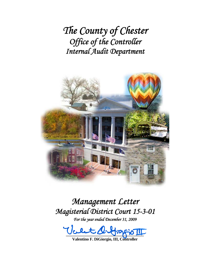*The County of Chester Office of the Controller Internal Audit Department*



# *Management Letter Magisterial District Court 15-3-01*

*For the year ended December 31, 2009* 

 $\overline{\text{F}}$  of  $\overline{\text{F}}$ 

**Valentino F. DiGiorgio, III, Controller**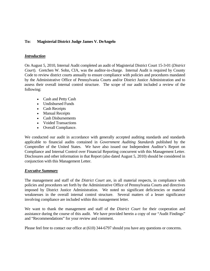## **To: Magisterial District Judge James V. DeAngelo**

#### *Introduction*

On August 5, 2010, Internal Audit completed an audit of Magisterial District Court 15-3-01 (*District Court*). Gretchen W. Sohn, CIA, was the auditor-in-charge. Internal Audit is required by County Code to review district courts annually to ensure compliance with policies and procedures mandated by the Administrative Office of Pennsylvania Courts and/or District Justice Administration and to assess their overall internal control structure. The scope of our audit included a review of the following:

- Cash and Petty Cash
- Undisbursed Funds
- Cash Receipts
- Manual Receipts
- Cash Disbursements
- Voided Transactions
- Overall Compliance.

We conducted our audit in accordance with generally accepted auditing standards and standards applicable to financial audits contained in *Government Auditing Standards* published by the Comptroller of the United States. We have also issued our Independent Auditor's Report on Compliance and Internal Control over Financial Reporting concurrent with this Management Letter. Disclosures and other information in that Report (also dated August 5, 2010) should be considered in conjunction with this Management Letter.

#### *Executive Summary*

The management and staff of the *District Court* are, in all material respects, in compliance with policies and procedures set forth by the Administrative Office of Pennsylvania Courts and directives imposed by District Justice Administration. We noted no significant deficiencies or material weaknesses in the overall internal control structure. Several matters of a lesser significance involving compliance are included within this management letter.

We want to thank the management and staff of the *District Court* for their cooperation and assistance during the course of this audit. We have provided herein a copy of our "Audit Findings" and "Recommendations" for your review and comment.

Please feel free to contact our office at (610) 344-6797 should you have any questions or concerns.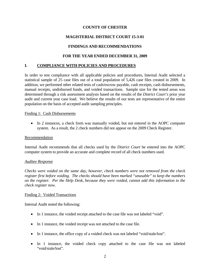# **COUNTY OF CHESTER**

# **MAGISTERIAL DISTRICT COURT 15-3-01**

# **FINDINGS AND RECOMMENDATIONS**

## **FOR THE YEAR ENDED DECEMBER 31, 2009**

#### **I. COMPLIANCE WITH POLICIES AND PROCEDURES**

In order to test compliance with all applicable policies and procedures, Internal Audit selected a statistical sample of 25 case files out of a total population of 5,426 case files created in 2009. In addition, we performed other related tests of cash/escrow payable, cash receipts, cash disbursements, manual receipts, undisbursed funds, and voided transactions. Sample size for the tested areas was determined through a risk assessment analysis based on the results of the *District Court's* prior year audit and current year case load. We believe the results of our tests are representative of the entire population on the basis of accepted audit sampling principles.

#### Finding 1: Cash Disbursements

• In 2 instances, a check form was manually voided, but not entered in the AOPC computer system. As a result, the 2 check numbers did not appear on the 2009 Check Register.

#### Recommendation

Internal Audit recommends that all checks used by the *District Court* be entered into the AOPC computer system to provide an accurate and complete record of all check numbers used.

#### *Auditee Response*

*Checks were voided on the same day, however, check numbers were not removed from the check register first before voiding. The checks should have been marked "unusable" to keep the numbers on the register. Per the Help Desk, because they were voided, cannot add this information to the check register now.*

#### Finding 2: Voided Transactions

Internal Audit noted the following:

- In 1 instance, the voided receipt attached to the case file was not labeled "void".
- In 1 instance, the voided receipt was not attached to the case file.
- In 1 instance, the office copy of a voided check was not labeled "void/stale/lost".
- In 1 instance, the voided check copy attached to the case file was not labeled "void/stale/lost".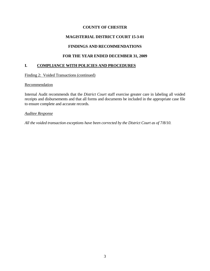# **COUNTY OF CHESTER**

# **MAGISTERIAL DISTRICT COURT 15-3-01**

# **FINDINGS AND RECOMMENDATIONS**

# **FOR THE YEAR ENDED DECEMBER 31, 2009**

# **I. COMPLIANCE WITH POLICIES AND PROCEDURES**

Finding 2: Voided Transactions (continued)

Recommendation

Internal Audit recommends that the *District Court* staff exercise greater care in labeling all voided receipts and disbursements and that all forms and documents be included in the appropriate case file to ensure complete and accurate records.

*Auditee Response*

*All the voided transaction exceptions have been corrected by the District Court as of 7/8/10.*